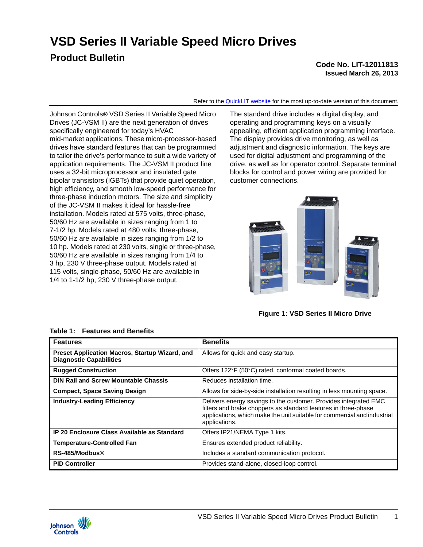**VSD Series II Variable Speed Micro Drives**

# **Product Bulletin**

#### **Code No. LIT-12011813 Issued March 26, 2013**

Refer to the [QuickLIT website](http://cgproducts.johnsoncontrols.com/default.aspx) for the most up-to-date version of this document.

Johnson Controls**®** VSD Series II Variable Speed Micro Drives (JC-VSM II) are the next generation of drives specifically engineered for today's HVAC mid-market applications. These micro-processor-based drives have standard features that can be programmed to tailor the drive's performance to suit a wide variety of application requirements. The JC-VSM II product line uses a 32-bit microprocessor and insulated gate bipolar transistors (IGBTs) that provide quiet operation, high efficiency, and smooth low-speed performance for three-phase induction motors. The size and simplicity of the JC-VSM II makes it ideal for hassle-free installation. Models rated at 575 volts, three-phase, 50/60 Hz are available in sizes ranging from 1 to 7-1/2 hp. Models rated at 480 volts, three-phase, 50/60 Hz are available in sizes ranging from 1/2 to 10 hp. Models rated at 230 volts, single or three-phase, 50/60 Hz are available in sizes ranging from 1/4 to 3 hp, 230 V three-phase output. Models rated at 115 volts, single-phase, 50/60 Hz are available in 1/4 to 1-1/2 hp, 230 V three-phase output.

The standard drive includes a digital display, and operating and programming keys on a visually appealing, efficient application programming interface. The display provides drive monitoring, as well as adjustment and diagnostic information. The keys are used for digital adjustment and programming of the drive, as well as for operator control. Separate terminal blocks for control and power wiring are provided for customer connections.



**Figure 1: VSD Series II Micro Drive**

| <b>Features</b>                                                                  | <b>Benefits</b>                                                                                                                                                                                                                 |
|----------------------------------------------------------------------------------|---------------------------------------------------------------------------------------------------------------------------------------------------------------------------------------------------------------------------------|
| Preset Application Macros, Startup Wizard, and<br><b>Diagnostic Capabilities</b> | Allows for quick and easy startup.                                                                                                                                                                                              |
| <b>Rugged Construction</b>                                                       | Offers 122°F (50°C) rated, conformal coated boards.                                                                                                                                                                             |
| <b>DIN Rail and Screw Mountable Chassis</b>                                      | Reduces installation time.                                                                                                                                                                                                      |
| <b>Compact, Space Saving Design</b>                                              | Allows for side-by-side installation resulting in less mounting space.                                                                                                                                                          |
| <b>Industry-Leading Efficiency</b>                                               | Delivers energy savings to the customer. Provides integrated EMC<br>filters and brake choppers as standard features in three-phase<br>applications, which make the unit suitable for commercial and industrial<br>applications. |
| IP 20 Enclosure Class Available as Standard                                      | Offers IP21/NEMA Type 1 kits.                                                                                                                                                                                                   |
| <b>Temperature-Controlled Fan</b>                                                | Ensures extended product reliability.                                                                                                                                                                                           |
| RS-485/Modbus®                                                                   | Includes a standard communication protocol.                                                                                                                                                                                     |
| <b>PID Controller</b>                                                            | Provides stand-alone, closed-loop control.                                                                                                                                                                                      |

#### **Table 1: Features and Benefits**

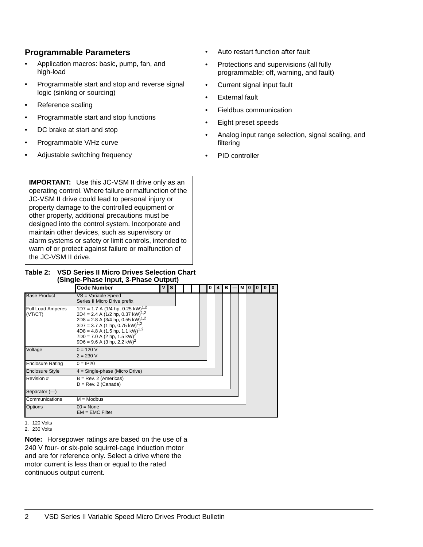### **Programmable Parameters**

- Application macros: basic, pump, fan, and high-load
- Programmable start and stop and reverse signal logic (sinking or sourcing)
- Reference scaling
- Programmable start and stop functions
- DC brake at start and stop
- Programmable V/Hz curve
- Adjustable switching frequency
- Auto restart function after fault
- Protections and supervisions (all fully programmable; off, warning, and fault)
- Current signal input fault
- **External fault**
- Fieldbus communication
- Eight preset speeds
- Analog input range selection, signal scaling, and filtering
- PID controller

**IMPORTANT:** Use this JC-VSM II drive only as an operating control. Where failure or malfunction of the JC-VSM II drive could lead to personal injury or property damage to the controlled equipment or other property, additional precautions must be designed into the control system. Incorporate and maintain other devices, such as supervisory or alarm systems or safety or limit controls, intended to warn of or protect against failure or malfunction of the JC-VSM II drive.

#### **Table 2: VSD Series II Micro Drives Selection Chart (Single-Phase Input, 3-Phase Output)**

|                                     | <b>Code Number</b>                                                                                                                                                                                                                                                                                                                            | v Is |  |  | 0 | $\overline{4}$ | B I |  | MIO I | $\mathbf{0}$ | 0 <sup>10</sup> |
|-------------------------------------|-----------------------------------------------------------------------------------------------------------------------------------------------------------------------------------------------------------------------------------------------------------------------------------------------------------------------------------------------|------|--|--|---|----------------|-----|--|-------|--------------|-----------------|
| <b>Base Product</b>                 | VS = Variable Speed<br>Series II Micro Drive prefix                                                                                                                                                                                                                                                                                           |      |  |  |   |                |     |  |       |              |                 |
| <b>Full Load Amperes</b><br>(VT/CT) | $1D7 = 1.7$ A (1/4 hp, 0.25 kW) <sup>1,2</sup><br>$2D4 = 2.4$ A (1/2 hp, 0.37 kW) <sup>1,2</sup><br>$2D8 = 2.8$ A (3/4 hp, 0.55 kW) <sup>1,2</sup><br>$3D7 = 3.7$ A (1 hp, 0.75 kW) <sup>1,2</sup><br>$4D8 = 4.8$ A (1.5 hp, 1.1 kW) <sup>1,2</sup><br>$7D0 = 7.0$ A (2 hp, 1.5 kW) <sup>2</sup><br>$9D6 = 9.6$ A (3 hp, 2.2 kW) <sup>2</sup> |      |  |  |   |                |     |  |       |              |                 |
| Voltage                             | $0 = 120 V$<br>$2 = 230 V$                                                                                                                                                                                                                                                                                                                    |      |  |  |   |                |     |  |       |              |                 |
| <b>Enclosure Rating</b>             | $0 = IP20$                                                                                                                                                                                                                                                                                                                                    |      |  |  |   |                |     |  |       |              |                 |
| <b>Enclosure Style</b>              | $4 =$ Single-phase (Micro Drive)                                                                                                                                                                                                                                                                                                              |      |  |  |   |                |     |  |       |              |                 |
| Revision #                          | $B = Rev. 2 (American)$<br>$D = Rev. 2 (Canada)$                                                                                                                                                                                                                                                                                              |      |  |  |   |                |     |  |       |              |                 |
| Separator $(-)$                     |                                                                                                                                                                                                                                                                                                                                               |      |  |  |   |                |     |  |       |              |                 |
| Communications                      | $M = Modbus$                                                                                                                                                                                                                                                                                                                                  |      |  |  |   |                |     |  |       |              |                 |
| Options                             | $00 = \text{None}$<br>$EM = EMC$ Filter                                                                                                                                                                                                                                                                                                       |      |  |  |   |                |     |  |       |              |                 |

<span id="page-1-1"></span><span id="page-1-0"></span>1. 120 Volts 2. 230 Volts

**Note:** Horsepower ratings are based on the use of a 240 V four- or six-pole squirrel-cage induction motor and are for reference only. Select a drive where the motor current is less than or equal to the rated continuous output current.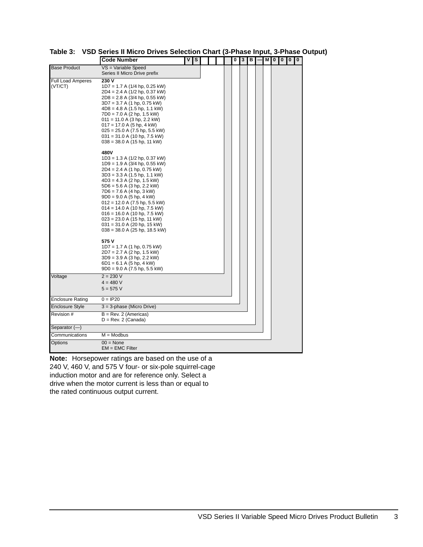|                                     | <b>Code Number</b>                                                                                                                                                                                                                                                                                                                                                                                                                                                                                                                                                                                                                                        | νI<br>S |  |  | 0<br>Π | 3 | в | M | ı<br>0 | 0 0 | 0 |
|-------------------------------------|-----------------------------------------------------------------------------------------------------------------------------------------------------------------------------------------------------------------------------------------------------------------------------------------------------------------------------------------------------------------------------------------------------------------------------------------------------------------------------------------------------------------------------------------------------------------------------------------------------------------------------------------------------------|---------|--|--|--------|---|---|---|--------|-----|---|
| <b>Base Product</b>                 | VS = Variable Speed<br>Series II Micro Drive prefix                                                                                                                                                                                                                                                                                                                                                                                                                                                                                                                                                                                                       |         |  |  |        |   |   |   |        |     |   |
| <b>Full Load Amperes</b><br>(VT/CT) | 230 V<br>$1D7 = 1.7$ A (1/4 hp, 0.25 kW)<br>$2D4 = 2.4$ A (1/2 hp, 0.37 kW)<br>$2D8 = 2.8$ A (3/4 hp, 0.55 kW)<br>$3D7 = 3.7$ A (1 hp, 0.75 kW)<br>$4D8 = 4.8$ A (1.5 hp, 1.1 kW)<br>$7D0 = 7.0$ A (2 hp, 1.5 kW)<br>$011 = 11.0$ A (3 hp, 2.2 kW)<br>$017 = 17.0$ A (5 hp, 4 kW)<br>$025 = 25.0$ A (7.5 hp, 5.5 kW)<br>$031 = 31.0$ A (10 hp, 7.5 kW)<br>$038 = 38.0$ A (15 hp, 11 kW)                                                                                                                                                                                                                                                                   |         |  |  |        |   |   |   |        |     |   |
|                                     | 480V<br>$1D3 = 1.3$ A (1/2 hp, 0.37 kW)<br>$1D9 = 1.9 A (3/4 hp, 0.55 kW)$<br>2D4 = 2.4 A (1 hp, 0.75 kW)<br>$3D3 = 3.3$ A (1.5 hp, 1.1 kW)<br>$4D3 = 4.3$ A (2 hp, 1.5 kW)<br>$5D6 = 5.6$ A (3 hp, 2.2 kW)<br>7D6 = 7.6 A (4 hp, 3 kW)<br>$9D0 = 9.0 A (5 hp, 4 kW)$<br>$012 = 12.0$ A (7.5 hp, 5.5 kW)<br>$014 = 14.0$ A (10 hp, 7.5 kW)<br>$016 = 16.0$ A (10 hp, 7.5 kW)<br>$023 = 23.0$ A (15 hp, 11 kW)<br>$031 = 31.0$ A (20 hp, 15 kW)<br>$038 = 38.0$ A (25 hp, 18.5 kW)<br>575 V<br>$1D7 = 1.7$ A (1 hp, 0.75 kW)<br>2D7 = 2.7 A (2 hp, 1.5 kW)<br>$3D9 = 3.9$ A (3 hp, 2.2 kW)<br>$6D1 = 6.1$ A (5 hp, 4 kW)<br>$9D0 = 9.0 A (7.5 hp, 5.5 kW)$ |         |  |  |        |   |   |   |        |     |   |
| Voltage                             | $2 = 230 V$<br>$4 = 480 V$<br>$5 = 575 V$                                                                                                                                                                                                                                                                                                                                                                                                                                                                                                                                                                                                                 |         |  |  |        |   |   |   |        |     |   |
| <b>Enclosure Rating</b>             | $0 = IP20$                                                                                                                                                                                                                                                                                                                                                                                                                                                                                                                                                                                                                                                |         |  |  |        |   |   |   |        |     |   |
| Enclosure Style                     | 3 = 3-phase (Micro Drive)                                                                                                                                                                                                                                                                                                                                                                                                                                                                                                                                                                                                                                 |         |  |  |        |   |   |   |        |     |   |
| Revision #                          | $B = Rev. 2 (American)$<br>$D = Rev. 2 (Canada)$                                                                                                                                                                                                                                                                                                                                                                                                                                                                                                                                                                                                          |         |  |  |        |   |   |   |        |     |   |
| Separator (—)                       |                                                                                                                                                                                                                                                                                                                                                                                                                                                                                                                                                                                                                                                           |         |  |  |        |   |   |   |        |     |   |
| Communications                      | $M = Modbus$                                                                                                                                                                                                                                                                                                                                                                                                                                                                                                                                                                                                                                              |         |  |  |        |   |   |   |        |     |   |
| Options                             | $00 = \text{None}$<br>$EM = EMC Filter$                                                                                                                                                                                                                                                                                                                                                                                                                                                                                                                                                                                                                   |         |  |  |        |   |   |   |        |     |   |

**Table 3: VSD Series II Micro Drives Selection Chart (3-Phase Input, 3-Phase Output)** 

**Note:** Horsepower ratings are based on the use of a 240 V, 460 V, and 575 V four- or six-pole squirrel-cage induction motor and are for reference only. Select a drive when the motor current is less than or equal to the rated continuous output current.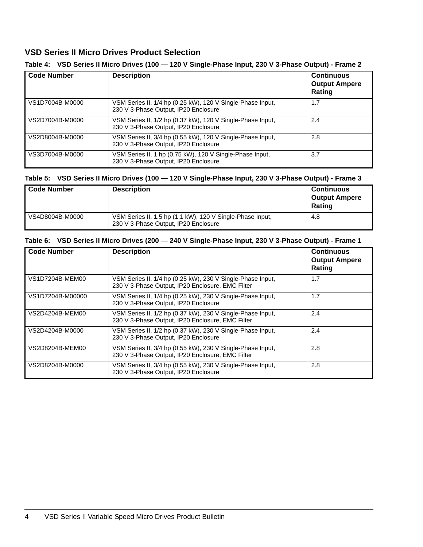## **VSD Series II Micro Drives Product Selection**

| <b>Code Number</b> | <b>Description</b>                                                                                 | <b>Continuous</b><br><b>Output Ampere</b><br>Rating |
|--------------------|----------------------------------------------------------------------------------------------------|-----------------------------------------------------|
| VS1D7004B-M0000    | VSM Series II, 1/4 hp (0.25 kW), 120 V Single-Phase Input,<br>230 V 3-Phase Output, IP20 Enclosure | 1.7                                                 |
| VS2D7004B-M0000    | VSM Series II, 1/2 hp (0.37 kW), 120 V Single-Phase Input,<br>230 V 3-Phase Output, IP20 Enclosure | 2.4                                                 |
| VS2D8004B-M0000    | VSM Series II, 3/4 hp (0.55 kW), 120 V Single-Phase Input,<br>230 V 3-Phase Output, IP20 Enclosure | 2.8                                                 |
| VS3D7004B-M0000    | VSM Series II, 1 hp (0.75 kW), 120 V Single-Phase Input,<br>230 V 3-Phase Output, IP20 Enclosure   | 3.7                                                 |

#### **Table 4: VSD Series II Micro Drives (100 — 120 V Single-Phase Input, 230 V 3-Phase Output) - Frame 2**

#### **Table 5: VSD Series II Micro Drives (100 — 120 V Single-Phase Input, 230 V 3-Phase Output) - Frame 3**

| Code Number     | <b>Description</b>                                                                                | <b>Continuous</b><br><b>Output Ampere</b><br><b>Rating</b> |
|-----------------|---------------------------------------------------------------------------------------------------|------------------------------------------------------------|
| VS4D8004B-M0000 | VSM Series II, 1.5 hp (1.1 kW), 120 V Single-Phase Input,<br>230 V 3-Phase Output, IP20 Enclosure | 4.8                                                        |

### **Table 6: VSD Series II Micro Drives (200 — 240 V Single-Phase Input, 230 V 3-Phase Output) - Frame 1**

| <b>Code Number</b> | <b>Description</b>                                                                                             | <b>Continuous</b><br><b>Output Ampere</b><br>Rating |
|--------------------|----------------------------------------------------------------------------------------------------------------|-----------------------------------------------------|
| VS1D7204B-MEM00    | VSM Series II, 1/4 hp (0.25 kW), 230 V Single-Phase Input,<br>230 V 3-Phase Output, IP20 Enclosure, EMC Filter | 1.7                                                 |
| VS1D7204B-M00000   | VSM Series II, 1/4 hp (0.25 kW), 230 V Single-Phase Input,<br>230 V 3-Phase Output, IP20 Enclosure             | 1.7                                                 |
| VS2D4204B-MEM00    | VSM Series II, 1/2 hp (0.37 kW), 230 V Single-Phase Input,<br>230 V 3-Phase Output, IP20 Enclosure, EMC Filter | 2.4                                                 |
| VS2D4204B-M0000    | VSM Series II, 1/2 hp (0.37 kW), 230 V Single-Phase Input,<br>230 V 3-Phase Output, IP20 Enclosure             | 2.4                                                 |
| VS2D8204B-MEM00    | VSM Series II, 3/4 hp (0.55 kW), 230 V Single-Phase Input,<br>230 V 3-Phase Output, IP20 Enclosure, EMC Filter | 2.8                                                 |
| VS2D8204B-M0000    | VSM Series II, 3/4 hp (0.55 kW), 230 V Single-Phase Input,<br>230 V 3-Phase Output, IP20 Enclosure             | 2.8                                                 |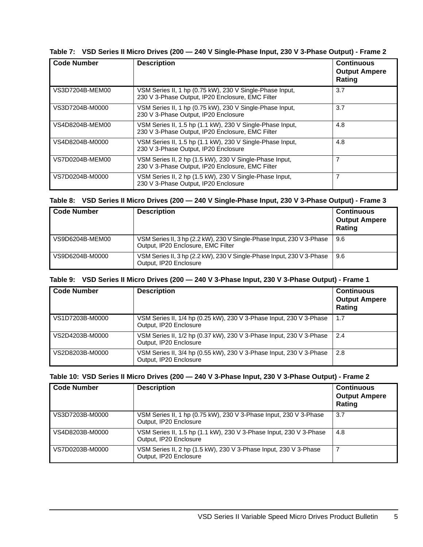|  |  |  |  | Table 7: VSD Series II Micro Drives (200 - 240 V Single-Phase Input, 230 V 3-Phase Output) - Frame 2 |
|--|--|--|--|------------------------------------------------------------------------------------------------------|
|--|--|--|--|------------------------------------------------------------------------------------------------------|

| <b>Code Number</b> | <b>Description</b>                                                                                            | <b>Continuous</b><br><b>Output Ampere</b><br>Rating |
|--------------------|---------------------------------------------------------------------------------------------------------------|-----------------------------------------------------|
| VS3D7204B-MEM00    | VSM Series II, 1 hp (0.75 kW), 230 V Single-Phase Input,<br>230 V 3-Phase Output, IP20 Enclosure, EMC Filter  | 3.7                                                 |
| VS3D7204B-M0000    | VSM Series II, 1 hp (0.75 kW), 230 V Single-Phase Input,<br>230 V 3-Phase Output, IP20 Enclosure              | 3.7                                                 |
| VS4D8204B-MEM00    | VSM Series II, 1.5 hp (1.1 kW), 230 V Single-Phase Input,<br>230 V 3-Phase Output, IP20 Enclosure, EMC Filter | 4.8                                                 |
| VS4D8204B-M0000    | VSM Series II, 1.5 hp (1.1 kW), 230 V Single-Phase Input,<br>230 V 3-Phase Output, IP20 Enclosure             | 4.8                                                 |
| VS7D0204B-MEM00    | VSM Series II, 2 hp (1.5 kW), 230 V Single-Phase Input,<br>230 V 3-Phase Output, IP20 Enclosure, EMC Filter   | $\overline{7}$                                      |
| VS7D0204B-M0000    | VSM Series II, 2 hp (1.5 kW), 230 V Single-Phase Input,<br>230 V 3-Phase Output, IP20 Enclosure               | 7                                                   |

#### **Table 8: VSD Series II Micro Drives (200 — 240 V Single-Phase Input, 230 V 3-Phase Output) - Frame 3**

| <b>Code Number</b> | <b>Description</b>                                                                                          | <b>Continuous</b><br><b>Output Ampere</b><br><b>Rating</b> |
|--------------------|-------------------------------------------------------------------------------------------------------------|------------------------------------------------------------|
| VS9D6204B-MEM00    | VSM Series II, 3 hp (2.2 kW), 230 V Single-Phase Input, 230 V 3-Phase<br>Output, IP20 Enclosure, EMC Filter | 9.6                                                        |
| VS9D6204B-M0000    | VSM Series II, 3 hp (2.2 kW), 230 V Single-Phase Input, 230 V 3-Phase<br>Output, IP20 Enclosure             | 9.6                                                        |

#### **Table 9: VSD Series II Micro Drives (200 — 240 V 3-Phase Input, 230 V 3-Phase Output) - Frame 1**

| <b>Code Number</b> | <b>Description</b>                                                                            | <b>Continuous</b><br><b>Output Ampere</b><br>Rating |
|--------------------|-----------------------------------------------------------------------------------------------|-----------------------------------------------------|
| VS1D7203B-M0000    | VSM Series II, 1/4 hp (0.25 kW), 230 V 3-Phase Input, 230 V 3-Phase<br>Output, IP20 Enclosure | 1.7                                                 |
| VS2D4203B-M0000    | VSM Series II, 1/2 hp (0.37 kW), 230 V 3-Phase Input, 230 V 3-Phase<br>Output, IP20 Enclosure | 2.4                                                 |
| VS2D8203B-M0000    | VSM Series II, 3/4 hp (0.55 kW), 230 V 3-Phase Input, 230 V 3-Phase<br>Output, IP20 Enclosure | 2.8                                                 |

### **Table 10: VSD Series II Micro Drives (200 — 240 V 3-Phase Input, 230 V 3-Phase Output) - Frame 2**

| <b>Code Number</b> | <b>Description</b>                                                                           | <b>Continuous</b><br><b>Output Ampere</b><br>Rating |
|--------------------|----------------------------------------------------------------------------------------------|-----------------------------------------------------|
| VS3D7203B-M0000    | VSM Series II, 1 hp (0.75 kW), 230 V 3-Phase Input, 230 V 3-Phase<br>Output, IP20 Enclosure  | 3.7                                                 |
| VS4D8203B-M0000    | VSM Series II, 1.5 hp (1.1 kW), 230 V 3-Phase Input, 230 V 3-Phase<br>Output, IP20 Enclosure | 4.8                                                 |
| VS7D0203B-M0000    | VSM Series II, 2 hp (1.5 kW), 230 V 3-Phase Input, 230 V 3-Phase<br>Output, IP20 Enclosure   | 7                                                   |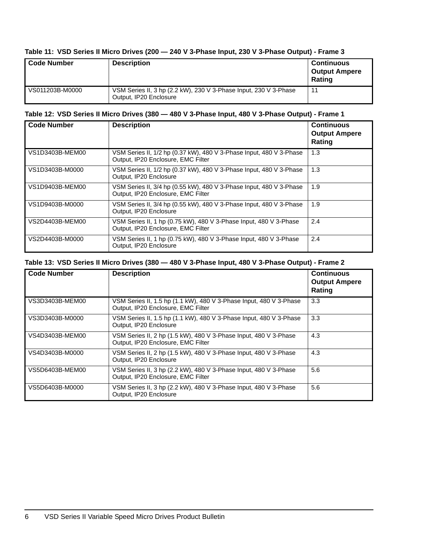#### **Table 11: VSD Series II Micro Drives (200 — 240 V 3-Phase Input, 230 V 3-Phase Output) - Frame 3**

| <b>Code Number</b> | <b>Description</b>                                                                         | <b>Continuous</b><br><b>Output Ampere</b><br>Rating |
|--------------------|--------------------------------------------------------------------------------------------|-----------------------------------------------------|
| VS011203B-M0000    | VSM Series II, 3 hp (2.2 kW), 230 V 3-Phase Input, 230 V 3-Phase<br>Output, IP20 Enclosure | 11                                                  |

#### **Table 12: VSD Series II Micro Drives (380 — 480 V 3-Phase Input, 480 V 3-Phase Output) - Frame 1**

| <b>Code Number</b> | <b>Description</b>                                                                                        | <b>Continuous</b><br><b>Output Ampere</b><br>Rating |
|--------------------|-----------------------------------------------------------------------------------------------------------|-----------------------------------------------------|
| VS1D3403B-MEM00    | VSM Series II, 1/2 hp (0.37 kW), 480 V 3-Phase Input, 480 V 3-Phase<br>Output, IP20 Enclosure, EMC Filter | 1.3                                                 |
| VS1D3403B-M0000    | VSM Series II, 1/2 hp (0.37 kW), 480 V 3-Phase Input, 480 V 3-Phase<br>Output, IP20 Enclosure             | 1.3                                                 |
| VS1D9403B-MEM00    | VSM Series II, 3/4 hp (0.55 kW), 480 V 3-Phase Input, 480 V 3-Phase<br>Output, IP20 Enclosure, EMC Filter | 1.9                                                 |
| VS1D9403B-M0000    | VSM Series II, 3/4 hp (0.55 kW), 480 V 3-Phase Input, 480 V 3-Phase<br>Output, IP20 Enclosure             | 1.9                                                 |
| VS2D4403B-MEM00    | VSM Series II, 1 hp (0.75 kW), 480 V 3-Phase Input, 480 V 3-Phase<br>Output, IP20 Enclosure, EMC Filter   | 2.4                                                 |
| VS2D4403B-M0000    | VSM Series II, 1 hp (0.75 kW), 480 V 3-Phase Input, 480 V 3-Phase<br>Output, IP20 Enclosure               | 2.4                                                 |

### **Table 13: VSD Series II Micro Drives (380 — 480 V 3-Phase Input, 480 V 3-Phase Output) - Frame 2**

| <b>Code Number</b> | <b>Description</b>                                                                                       | <b>Continuous</b><br><b>Output Ampere</b><br>Rating |
|--------------------|----------------------------------------------------------------------------------------------------------|-----------------------------------------------------|
| VS3D3403B-MEM00    | VSM Series II, 1.5 hp (1.1 kW), 480 V 3-Phase Input, 480 V 3-Phase<br>Output, IP20 Enclosure, EMC Filter | 3.3                                                 |
| VS3D3403B-M0000    | VSM Series II, 1.5 hp (1.1 kW), 480 V 3-Phase Input, 480 V 3-Phase<br>Output, IP20 Enclosure             | 3.3                                                 |
| VS4D3403B-MEM00    | VSM Series II, 2 hp (1.5 kW), 480 V 3-Phase Input, 480 V 3-Phase<br>Output, IP20 Enclosure, EMC Filter   | 4.3                                                 |
| VS4D3403B-M0000    | VSM Series II, 2 hp (1.5 kW), 480 V 3-Phase Input, 480 V 3-Phase<br>Output, IP20 Enclosure               | 4.3                                                 |
| VS5D6403B-MEM00    | VSM Series II, 3 hp (2.2 kW), 480 V 3-Phase Input, 480 V 3-Phase<br>Output, IP20 Enclosure, EMC Filter   | 5.6                                                 |
| VS5D6403B-M0000    | VSM Series II, 3 hp (2.2 kW), 480 V 3-Phase Input, 480 V 3-Phase<br>Output, IP20 Enclosure               | 5.6                                                 |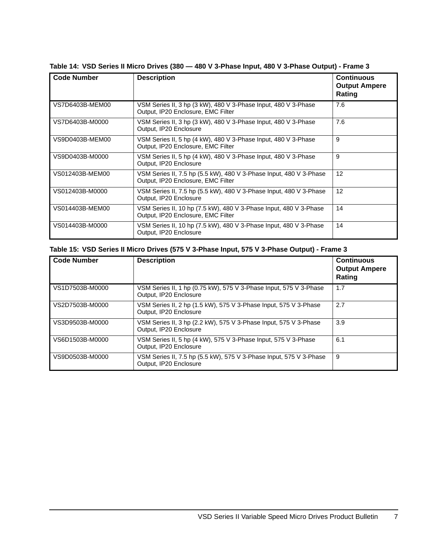| <b>Code Number</b> | <b>Description</b>                                                 | <b>Continuous</b>    |
|--------------------|--------------------------------------------------------------------|----------------------|
|                    |                                                                    | <b>Output Ampere</b> |
|                    |                                                                    | Rating               |
|                    |                                                                    |                      |
| VS7D6403B-MEM00    | VSM Series II, 3 hp (3 kW), 480 V 3-Phase Input, 480 V 3-Phase     | 7.6                  |
|                    | Output, IP20 Enclosure, EMC Filter                                 |                      |
|                    |                                                                    |                      |
| VS7D6403B-M0000    | VSM Series II, 3 hp (3 kW), 480 V 3-Phase Input, 480 V 3-Phase     | 7.6                  |
|                    | Output, IP20 Enclosure                                             |                      |
| VS9D0403B-MEM00    | VSM Series II, 5 hp (4 kW), 480 V 3-Phase Input, 480 V 3-Phase     | 9                    |
|                    | Output, IP20 Enclosure, EMC Filter                                 |                      |
|                    |                                                                    |                      |
| VS9D0403B-M0000    | VSM Series II, 5 hp (4 kW), 480 V 3-Phase Input, 480 V 3-Phase     | 9                    |
|                    | Output, IP20 Enclosure                                             |                      |
| VS012403B-MEM00    | VSM Series II, 7.5 hp (5.5 kW), 480 V 3-Phase Input, 480 V 3-Phase | 12                   |
|                    | Output, IP20 Enclosure, EMC Filter                                 |                      |
|                    |                                                                    |                      |
| VS012403B-M0000    | VSM Series II, 7.5 hp (5.5 kW), 480 V 3-Phase Input, 480 V 3-Phase | 12                   |
|                    | Output, IP20 Enclosure                                             |                      |
| VS014403B-MEM00    | VSM Series II, 10 hp (7.5 kW), 480 V 3-Phase Input, 480 V 3-Phase  | 14                   |
|                    | Output, IP20 Enclosure, EMC Filter                                 |                      |
|                    |                                                                    |                      |
| VS014403B-M0000    | VSM Series II, 10 hp (7.5 kW), 480 V 3-Phase Input, 480 V 3-Phase  | 14                   |
|                    | Output, IP20 Enclosure                                             |                      |
|                    |                                                                    |                      |

**Table 14: VSD Series II Micro Drives (380 — 480 V 3-Phase Input, 480 V 3-Phase Output) - Frame 3**

| Table 15: VSD Series II Micro Drives (575 V 3-Phase Input, 575 V 3-Phase Output) - Frame 3 |  |  |  |  |  |  |  |  |  |  |  |  |  |
|--------------------------------------------------------------------------------------------|--|--|--|--|--|--|--|--|--|--|--|--|--|
|--------------------------------------------------------------------------------------------|--|--|--|--|--|--|--|--|--|--|--|--|--|

| <b>Code Number</b> | <b>Description</b>                                                                           | <b>Continuous</b><br><b>Output Ampere</b><br>Rating |
|--------------------|----------------------------------------------------------------------------------------------|-----------------------------------------------------|
| VS1D7503B-M0000    | VSM Series II, 1 hp (0.75 kW), 575 V 3-Phase Input, 575 V 3-Phase<br>Output, IP20 Enclosure  | 1.7                                                 |
| VS2D7503B-M0000    | VSM Series II, 2 hp (1.5 kW), 575 V 3-Phase Input, 575 V 3-Phase<br>Output, IP20 Enclosure   | 2.7                                                 |
| VS3D9503B-M0000    | VSM Series II, 3 hp (2.2 kW), 575 V 3-Phase Input, 575 V 3-Phase<br>Output, IP20 Enclosure   | 3.9                                                 |
| VS6D1503B-M0000    | VSM Series II, 5 hp (4 kW), 575 V 3-Phase Input, 575 V 3-Phase<br>Output, IP20 Enclosure     | 6.1                                                 |
| VS9D0503B-M0000    | VSM Series II, 7.5 hp (5.5 kW), 575 V 3-Phase Input, 575 V 3-Phase<br>Output, IP20 Enclosure | 9                                                   |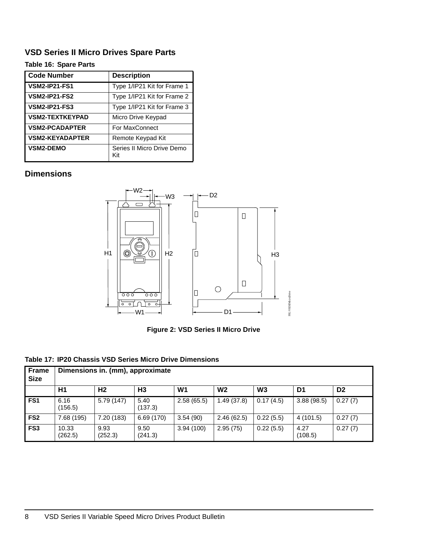## **VSD Series II Micro Drives Spare Parts**

### **Table 16: Spare Parts**

| Code Number            | <b>Description</b>                |
|------------------------|-----------------------------------|
| <b>VSM2-IP21-FS1</b>   | Type 1/IP21 Kit for Frame 1       |
| <b>VSM2-IP21-FS2</b>   | Type 1/IP21 Kit for Frame 2       |
| <b>VSM2-IP21-FS3</b>   | Type 1/IP21 Kit for Frame 3       |
| <b>VSM2-TEXTKEYPAD</b> | Micro Drive Keypad                |
| <b>VSM2-PCADAPTER</b>  | For MaxConnect                    |
| <b>VSM2-KEYADAPTER</b> | Remote Keypad Kit                 |
| <b>VSM2-DEMO</b>       | Series II Micro Drive Demo<br>Kit |

## **Dimensions**



**Figure 2: VSD Series II Micro Drive**

#### **Table 17: IP20 Chassis VSD Series Micro Drive Dimensions**

| <b>Frame</b><br><b>Size</b> | Dimensions in. (mm), approximate |                 |                 |                |                |                |                 |                |
|-----------------------------|----------------------------------|-----------------|-----------------|----------------|----------------|----------------|-----------------|----------------|
|                             | H1                               | H <sub>2</sub>  | H <sub>3</sub>  | W <sub>1</sub> | W <sub>2</sub> | W <sub>3</sub> | D <sub>1</sub>  | D <sub>2</sub> |
| FS <sub>1</sub>             | 6.16<br>(156.5)                  | 5.79 (147)      | 5.40<br>(137.3) | 2.58(65.5)     | 1.49(37.8)     | 0.17(4.5)      | 3.88(98.5)      | 0.27(7)        |
| FS <sub>2</sub>             | 7.68 (195)                       | 7.20 (183)      | 6.69 (170)      | 3.54(90)       | 2.46(62.5)     | 0.22(5.5)      | 4(101.5)        | 0.27(7)        |
| FS <sub>3</sub>             | 10.33<br>(262.5)                 | 9.93<br>(252.3) | 9.50<br>(241.3) | 3.94(100)      | 2.95(75)       | 0.22(5.5)      | 4.27<br>(108.5) | 0.27(7)        |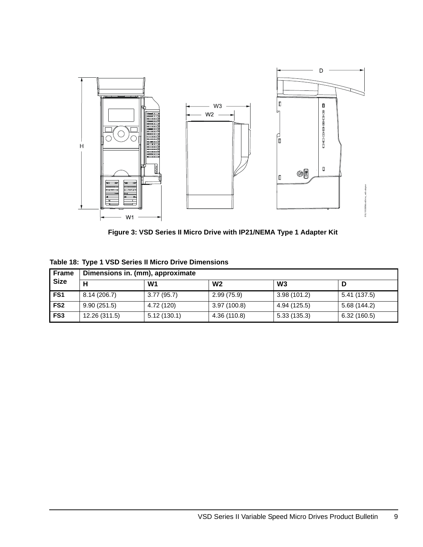

**Figure 3: VSD Series II Micro Drive with IP21/NEMA Type 1 Adapter Kit**

| <b>Frame</b><br><b>Size</b> | Dimensions in. (mm), approximate |             |                |                |              |  |  |  |
|-----------------------------|----------------------------------|-------------|----------------|----------------|--------------|--|--|--|
|                             |                                  | W1          | W <sub>2</sub> | W <sub>3</sub> |              |  |  |  |
| FS <sub>1</sub>             | 8.14(206.7)                      | 3.77(95.7)  | 2.99(75.9)     | 3.98(101.2)    | 5.41 (137.5) |  |  |  |
| FS <sub>2</sub>             | 9.90(251.5)                      | 4.72 (120)  | 3.97(100.8)    | 4.94 (125.5)   | 5.68(144.2)  |  |  |  |
| FS <sub>3</sub>             | 12.26 (311.5)                    | 5.12(130.1) | 4.36 (110.8)   | 5.33(135.3)    | 6.32(160.5)  |  |  |  |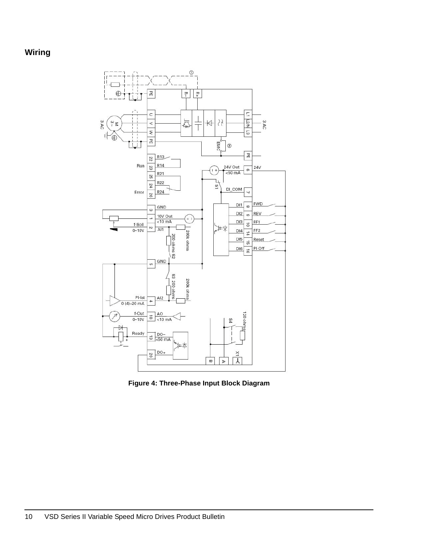## **Wiring**



**Figure 4: Three-Phase Input Block Diagram**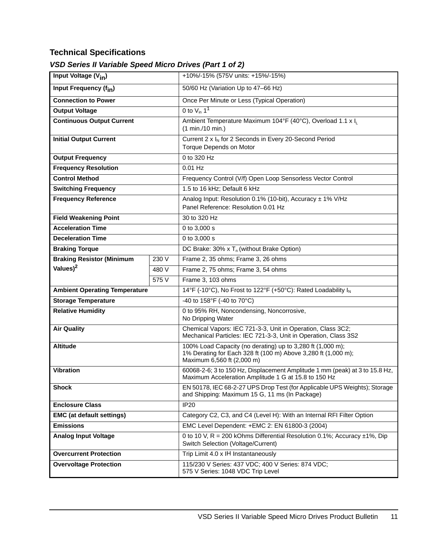## **Technical Specifications**

## *VSD Series II Variable Speed Micro Drives (Part 1 of 2)*

| Input Voltage (V <sub>in</sub> )     |       | +10%/-15% (575V units: +15%/-15%)                                                                                                                         |  |  |
|--------------------------------------|-------|-----------------------------------------------------------------------------------------------------------------------------------------------------------|--|--|
| Input Frequency (f <sub>in</sub> )   |       | 50/60 Hz (Variation Up to 47-66 Hz)                                                                                                                       |  |  |
| <b>Connection to Power</b>           |       | Once Per Minute or Less (Typical Operation)                                                                                                               |  |  |
| <b>Output Voltage</b>                |       | 0 to $V_{in}$ 1 <sup>1</sup>                                                                                                                              |  |  |
| <b>Continuous Output Current</b>     |       | Ambient Temperature Maximum 104°F (40°C), Overload 1.1 x I <sub>I</sub><br>(1 min./10 min.)                                                               |  |  |
| <b>Initial Output Current</b>        |       | Current 2 x I <sub>N</sub> for 2 Seconds in Every 20-Second Period<br>Torque Depends on Motor                                                             |  |  |
| <b>Output Frequency</b>              |       | 0 to 320 Hz                                                                                                                                               |  |  |
| <b>Frequency Resolution</b>          |       | $0.01$ Hz                                                                                                                                                 |  |  |
| <b>Control Method</b>                |       | Frequency Control (V/f) Open Loop Sensorless Vector Control                                                                                               |  |  |
| <b>Switching Frequency</b>           |       | 1.5 to 16 kHz; Default 6 kHz                                                                                                                              |  |  |
| <b>Frequency Reference</b>           |       | Analog Input: Resolution 0.1% (10-bit), Accuracy ± 1% V/Hz<br>Panel Reference: Resolution 0.01 Hz                                                         |  |  |
| <b>Field Weakening Point</b>         |       | 30 to 320 Hz                                                                                                                                              |  |  |
| <b>Acceleration Time</b>             |       | 0 to 3,000 s                                                                                                                                              |  |  |
| <b>Deceleration Time</b>             |       | 0 to 3,000 s                                                                                                                                              |  |  |
| <b>Braking Torque</b>                |       | DC Brake: 30% x $T_n$ (without Brake Option)                                                                                                              |  |  |
| <b>Braking Resistor (Minimum</b>     | 230 V | Frame 2, 35 ohms; Frame 3, 26 ohms                                                                                                                        |  |  |
| Values) <sup>2</sup><br>480 V        |       | Frame 2, 75 ohms; Frame 3, 54 ohms                                                                                                                        |  |  |
|                                      | 575 V | Frame 3, 103 ohms                                                                                                                                         |  |  |
| <b>Ambient Operating Temperature</b> |       | 14°F (-10°C), No Frost to 122°F (+50°C): Rated Loadability I <sub>N</sub>                                                                                 |  |  |
| <b>Storage Temperature</b>           |       | -40 to 158°F (-40 to 70°C)                                                                                                                                |  |  |
| <b>Relative Humidity</b>             |       | 0 to 95% RH, Noncondensing, Noncorrosive,<br>No Dripping Water                                                                                            |  |  |
| <b>Air Quality</b>                   |       | Chemical Vapors: IEC 721-3-3, Unit in Operation, Class 3C2;<br>Mechanical Particles: IEC 721-3-3, Unit in Operation, Class 3S2                            |  |  |
| <b>Altitude</b>                      |       | 100% Load Capacity (no derating) up to 3,280 ft (1,000 m);<br>1% Derating for Each 328 ft (100 m) Above 3,280 ft (1,000 m);<br>Maximum 6,560 ft (2,000 m) |  |  |
| <b>Vibration</b>                     |       | 60068-2-6; 3 to 150 Hz, Displacement Amplitude 1 mm (peak) at 3 to 15.8 Hz,<br>Maximum Acceleration Amplitude 1 G at 15.8 to 150 Hz                       |  |  |
| <b>Shock</b>                         |       | EN 50178, IEC 68-2-27 UPS Drop Test (for Applicable UPS Weights); Storage<br>and Shipping: Maximum 15 G, 11 ms (In Package)                               |  |  |
| <b>Enclosure Class</b>               |       | <b>IP20</b>                                                                                                                                               |  |  |
| <b>EMC</b> (at default settings)     |       | Category C2, C3, and C4 (Level H): With an Internal RFI Filter Option                                                                                     |  |  |
| <b>Emissions</b>                     |       | EMC Level Dependent: +EMC 2: EN 61800-3 (2004)                                                                                                            |  |  |
| <b>Analog Input Voltage</b>          |       | 0 to 10 V, R = 200 kOhms Differential Resolution 0.1%; Accuracy ±1%, Dip<br>Switch Selection (Voltage/Current)                                            |  |  |
| <b>Overcurrent Protection</b>        |       | Trip Limit 4.0 x IH Instantaneously                                                                                                                       |  |  |
| <b>Overvoltage Protection</b>        |       | 115/230 V Series: 437 VDC; 400 V Series: 874 VDC;<br>575 V Series: 1048 VDC Trip Level                                                                    |  |  |